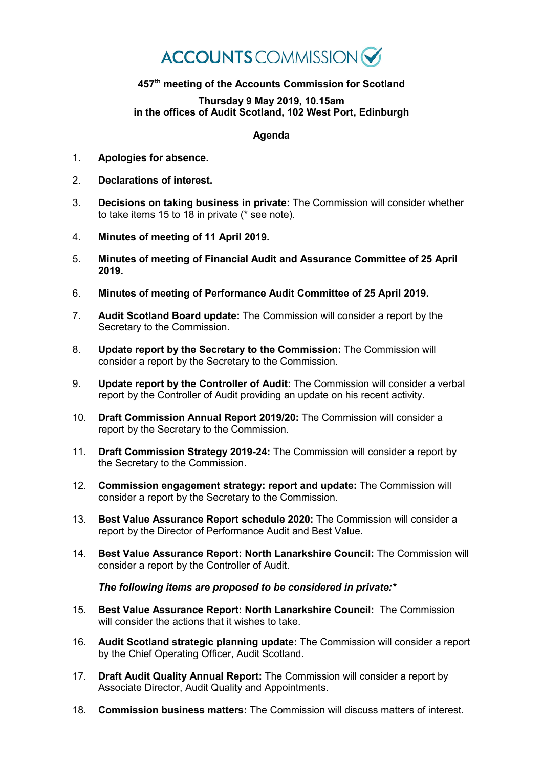## **ACCOUNTS** COMMISSION

## **457th meeting of the Accounts Commission for Scotland**

## **Thursday 9 May 2019, 10.15am in the offices of Audit Scotland, 102 West Port, Edinburgh**

## **Agenda**

- 1. **Apologies for absence.**
- 2. **Declarations of interest.**
- 3. **Decisions on taking business in private:** The Commission will consider whether to take items 15 to 18 in private (\* see note).
- 4. **Minutes of meeting of 11 April 2019.**
- 5. **Minutes of meeting of Financial Audit and Assurance Committee of 25 April 2019.**
- 6. **Minutes of meeting of Performance Audit Committee of 25 April 2019.**
- 7. **Audit Scotland Board update:** The Commission will consider a report by the Secretary to the Commission.
- 8. **Update report by the Secretary to the Commission:** The Commission will consider a report by the Secretary to the Commission.
- 9. **Update report by the Controller of Audit:** The Commission will consider a verbal report by the Controller of Audit providing an update on his recent activity.
- 10. **Draft Commission Annual Report 2019/20:** The Commission will consider a report by the Secretary to the Commission.
- 11. **Draft Commission Strategy 2019-24:** The Commission will consider a report by the Secretary to the Commission.
- 12. **Commission engagement strategy: report and update:** The Commission will consider a report by the Secretary to the Commission.
- 13. **Best Value Assurance Report schedule 2020:** The Commission will consider a report by the Director of Performance Audit and Best Value.
- 14. **Best Value Assurance Report: North Lanarkshire Council:** The Commission will consider a report by the Controller of Audit.

*The following items are proposed to be considered in private:\**

- 15. **Best Value Assurance Report: North Lanarkshire Council:** The Commission will consider the actions that it wishes to take.
- 16. **Audit Scotland strategic planning update:** The Commission will consider a report by the Chief Operating Officer, Audit Scotland.
- 17. **Draft Audit Quality Annual Report:** The Commission will consider a report by Associate Director, Audit Quality and Appointments.
- 18. **Commission business matters:** The Commission will discuss matters of interest.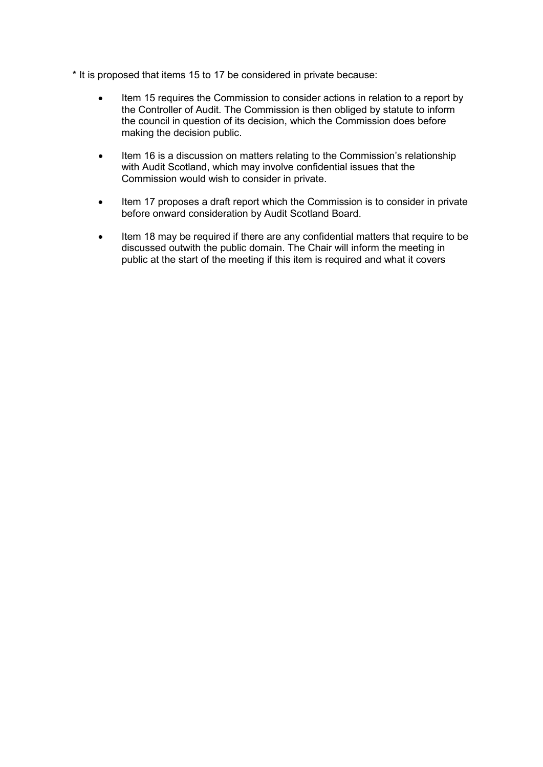- \* It is proposed that items 15 to 17 be considered in private because:
	- Item 15 requires the Commission to consider actions in relation to a report by the Controller of Audit. The Commission is then obliged by statute to inform the council in question of its decision, which the Commission does before making the decision public.
	- Item 16 is a discussion on matters relating to the Commission's relationship with Audit Scotland, which may involve confidential issues that the Commission would wish to consider in private.
	- Item 17 proposes a draft report which the Commission is to consider in private before onward consideration by Audit Scotland Board.
	- Item 18 may be required if there are any confidential matters that require to be discussed outwith the public domain. The Chair will inform the meeting in public at the start of the meeting if this item is required and what it covers